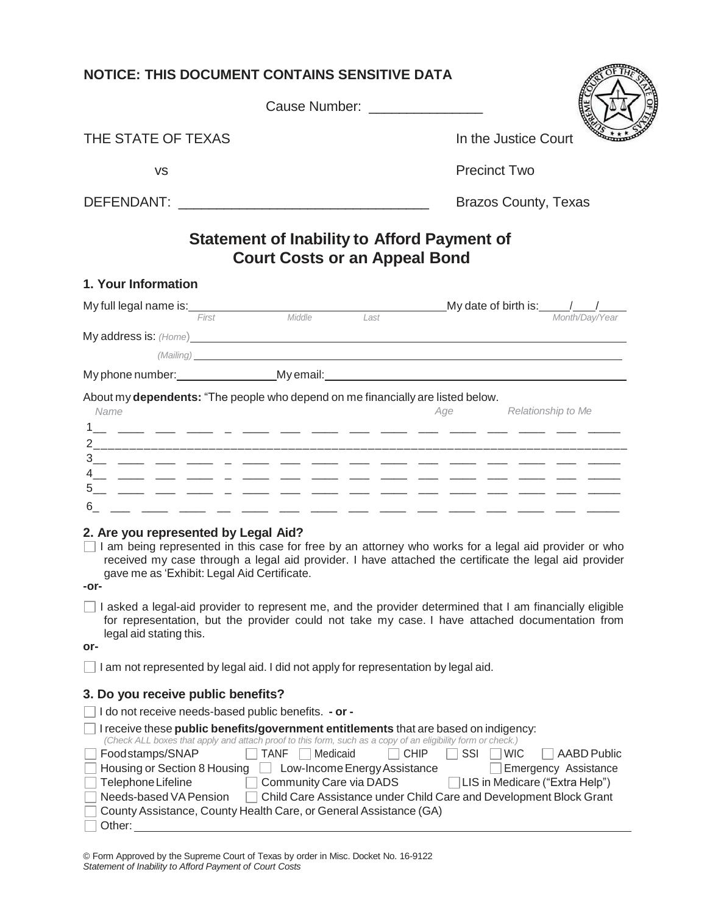| <b>NOTICE: THIS DOCUMENT CONTAINS SENSITIVE DATA</b>                                                                                                                                                                                                                                                                                                                                                                                                                                                                                                                             |                                                                                                                                                                                                                                |
|----------------------------------------------------------------------------------------------------------------------------------------------------------------------------------------------------------------------------------------------------------------------------------------------------------------------------------------------------------------------------------------------------------------------------------------------------------------------------------------------------------------------------------------------------------------------------------|--------------------------------------------------------------------------------------------------------------------------------------------------------------------------------------------------------------------------------|
|                                                                                                                                                                                                                                                                                                                                                                                                                                                                                                                                                                                  | Cause Number: ________________                                                                                                                                                                                                 |
| THE STATE OF TEXAS                                                                                                                                                                                                                                                                                                                                                                                                                                                                                                                                                               | In the Justice Court                                                                                                                                                                                                           |
| VS                                                                                                                                                                                                                                                                                                                                                                                                                                                                                                                                                                               | <b>Precinct Two</b>                                                                                                                                                                                                            |
|                                                                                                                                                                                                                                                                                                                                                                                                                                                                                                                                                                                  | <b>Brazos County, Texas</b>                                                                                                                                                                                                    |
| <b>Statement of Inability to Afford Payment of</b><br><b>Court Costs or an Appeal Bond</b>                                                                                                                                                                                                                                                                                                                                                                                                                                                                                       |                                                                                                                                                                                                                                |
| 1. Your Information<br>My full legal name is: $F_{\text{first}}$ Middle                                                                                                                                                                                                                                                                                                                                                                                                                                                                                                          | My date of birth is: $\frac{1}{\frac{Month}{Day/Year}}$<br>Last                                                                                                                                                                |
| My address is: (Home) <b>Example 2008</b> 2014 12:30 and 2014 2015 2016 2017 2018 2019 2017 2018 2019 2017 2018 2019 2017 2018 2019 2019 2017 2018 2019 2017 2018 2019 2017 2018 2019 2017 2018 2019 2017 2018 2019 2017 2018 2019<br>My phone number: My email: My email: Now the mail: Now the mail: Now the mail: Now the mail: Now the mail: Now the mail: Now the mail: Now the mail: Now the mail: Now the mail: Now the mail: Now the mail: Now the mail: Now                                                                                                             | (Mailing) experience and the contract of the contract of the contract of the contract of the contract of the contract of the contract of the contract of the contract of the contract of the contract of the contract of the c |
| About my dependents: "The people who depend on me financially are listed below.<br>Name<br>المستنقل المستنقل المستنقل المستنقل المستنقل المستنقل المستنقل المستنقل المستنقل المستنقل<br>6.<br><u>المسار المساري المسار المساري المساري المساري المساري المساري المساري المسار</u>                                                                                                                                                                                                                                                                                                | Relationship to Me<br>Age                                                                                                                                                                                                      |
| 2. Are you represented by Legal Aid?<br>I am being represented in this case for free by an attorney who works for a legal aid provider or who<br>received my case through a legal aid provider. I have attached the certificate the legal aid provider<br>gave me as 'Exhibit: Legal Aid Certificate.<br>-or-                                                                                                                                                                                                                                                                    |                                                                                                                                                                                                                                |
| I asked a legal-aid provider to represent me, and the provider determined that I am financially eligible<br>for representation, but the provider could not take my case. I have attached documentation from<br>legal aid stating this.<br>or-                                                                                                                                                                                                                                                                                                                                    |                                                                                                                                                                                                                                |
| $\Box$ I am not represented by legal aid. I did not apply for representation by legal aid.                                                                                                                                                                                                                                                                                                                                                                                                                                                                                       |                                                                                                                                                                                                                                |
| 3. Do you receive public benefits?<br>I do not receive needs-based public benefits. - or -<br>I receive these public benefits/government entitlements that are based on indigency:<br>(Check ALL boxes that apply and attach proof to this form, such as a copy of an eligibility form or check.)<br>Foodstamps/SNAP<br><b>TANF</b><br>Medicaid<br>Housing or Section 8 Housing $\Box$<br>Low-Income Energy Assistance<br>Telephone Lifeline<br>Community Care via DADS<br>Needs-based VA Pension<br>County Assistance, County Health Care, or General Assistance (GA)<br>Other: | <b>CHIP</b><br>SSI<br><b>WIC</b><br><b>AABD Public</b><br>Emergency Assistance<br>□LIS in Medicare ("Extra Help")<br>Child Care Assistance under Child Care and Development Block Grant                                        |
| © Form Approved by the Supreme Court of Texas by order in Misc. Docket No. 16-9122                                                                                                                                                                                                                                                                                                                                                                                                                                                                                               |                                                                                                                                                                                                                                |

© Form Approved by the Supreme Court of Texas by order in Misc. Docket No. 16-9122 *Statement of Inability to Afford Payment of Court Costs*